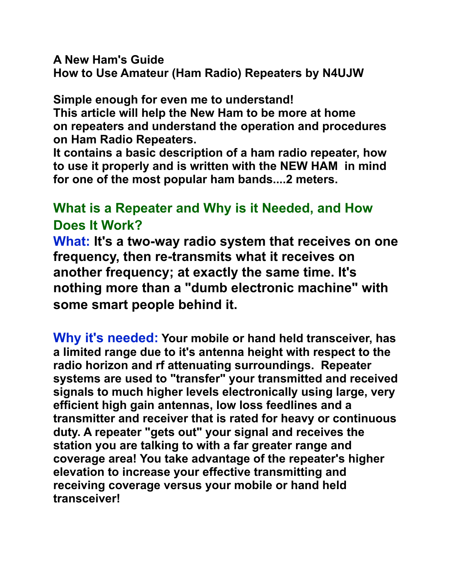**A New Ham's Guide How to Use Amateur (Ham Radio) Repeaters by N4UJW**

**Simple enough for even me to understand! This article will help the New Ham to be more at home on repeaters and understand the operation and procedures on Ham Radio Repeaters.**

**It contains a basic description of a ham radio repeater, how to use it properly and is written with the NEW HAM in mind for one of the most popular ham bands....2 meters.**

# **What is a Repeater and Why is it Needed, and How Does It Work?**

**What: It's a two-way radio system that receives on one frequency, then re-transmits what it receives on another frequency; at exactly the same time. It's nothing more than a "dumb electronic machine" with some smart people behind it.**

**Why it's needed: Your mobile or hand held transceiver, has a limited range due to it's antenna height with respect to the radio horizon and rf attenuating surroundings. Repeater systems are used to "transfer" your transmitted and received signals to much higher levels electronically using large, very efficient high gain antennas, low loss feedlines and a transmitter and receiver that is rated for heavy or continuous duty. A repeater "gets out" your signal and receives the station you are talking to with a far greater range and coverage area! You take advantage of the repeater's higher elevation to increase your effective transmitting and receiving coverage versus your mobile or hand held transceiver!**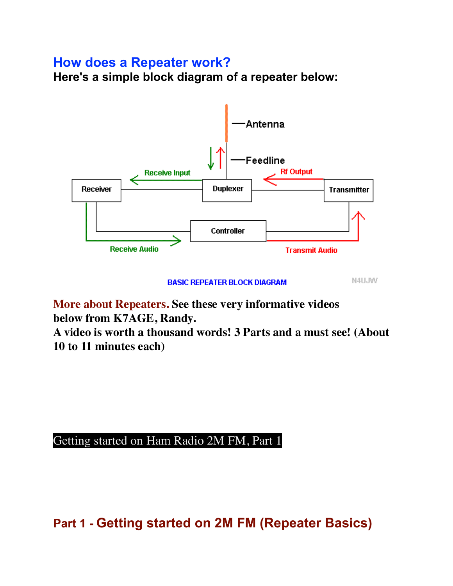## **How does a Repeater work?**

**Here's a simple block diagram of a repeater below:**



**BASIC REPEATER BLOCK DIAGRAM** 

N4UJW

**More about Repeaters. See these very informative videos below from K7AGE, Randy.**

**A video is worth a thousand words! 3 Parts and a must see! (About 10 to 11 minutes each)**

## [Getting started on Ham Radio 2M FM, Part 1](https://www.youtube.com/watch?v=jmOfkdhJL1U)

**Part 1 - Getting started on 2M FM (Repeater Basics)**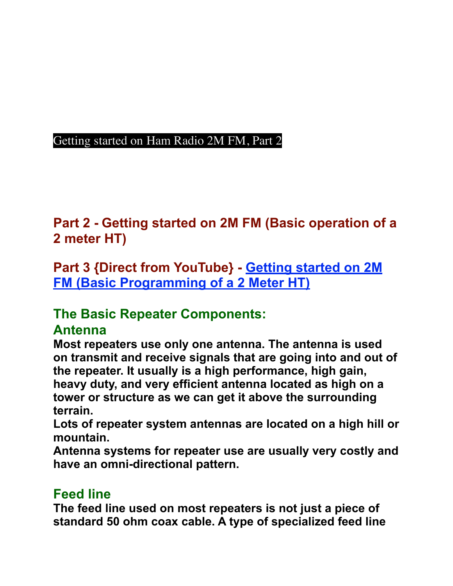## [Getting started on Ham Radio 2M FM, Part 2](https://www.youtube.com/watch?v=FrRLBPhwaus)

**Part 2 - Getting started on 2M FM (Basic operation of a 2 meter HT)**

**Part 3 {Direct from YouTube} - [Getting started on 2M](https://www.youtube.com/watch?v=T1PtDM3lI3Q&feature=player_detailpage#t=6)  [FM \(Basic Programming of a 2 Meter HT\)](https://www.youtube.com/watch?v=T1PtDM3lI3Q&feature=player_detailpage#t=6)**

# **The Basic Repeater Components:**

## **Antenna**

**Most repeaters use only one antenna. The antenna is used on transmit and receive signals that are going into and out of the repeater. It usually is a high performance, high gain, heavy duty, and very efficient antenna located as high on a tower or structure as we can get it above the surrounding terrain.** 

**Lots of repeater system antennas are located on a high hill or mountain.** 

**Antenna systems for repeater use are usually very costly and have an omni-directional pattern.**

# **Feed line**

**The feed line used on most repeaters is not just a piece of standard 50 ohm coax cable. A type of specialized feed line**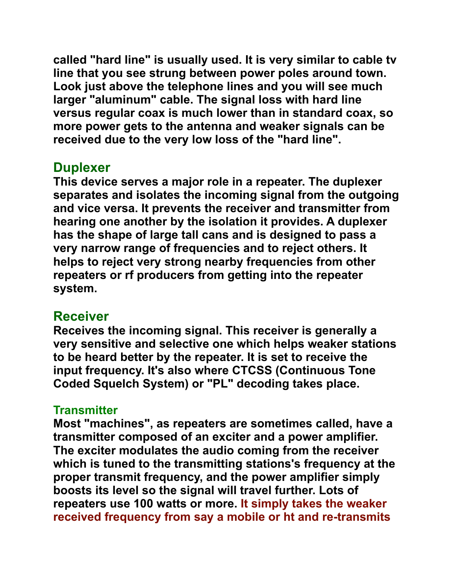**called "hard line" is usually used. It is very similar to cable tv line that you see strung between power poles around town. Look just above the telephone lines and you will see much larger "aluminum" cable. The signal loss with hard line versus regular coax is much lower than in standard coax, so more power gets to the antenna and weaker signals can be received due to the very low loss of the "hard line".**

## **Duplexer**

**This device serves a major role in a repeater. The duplexer separates and isolates the incoming signal from the outgoing and vice versa. It prevents the receiver and transmitter from hearing one another by the isolation it provides. A duplexer has the shape of large tall cans and is designed to pass a very narrow range of frequencies and to reject others. It helps to reject very strong nearby frequencies from other repeaters or rf producers from getting into the repeater system.** 

# **Receiver**

**Receives the incoming signal. This receiver is generally a very sensitive and selective one which helps weaker stations to be heard better by the repeater. It is set to receive the input frequency. It's also where CTCSS (Continuous Tone Coded Squelch System) or "PL" decoding takes place.** 

## **Transmitter**

**Most "machines", as repeaters are sometimes called, have a transmitter composed of an exciter and a power amplifier. The exciter modulates the audio coming from the receiver which is tuned to the transmitting stations's frequency at the proper transmit frequency, and the power amplifier simply boosts its level so the signal will travel further. Lots of repeaters use 100 watts or more. It simply takes the weaker received frequency from say a mobile or ht and re-transmits**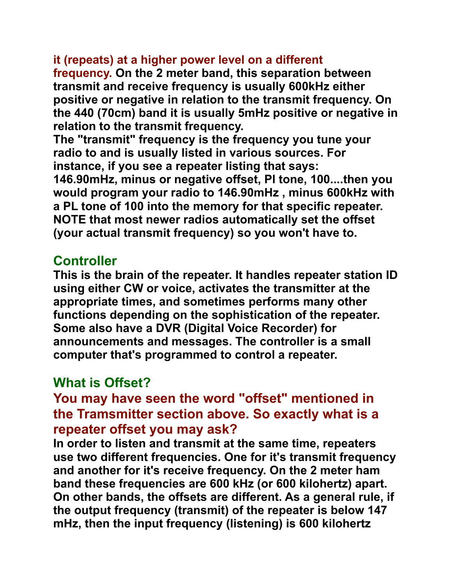## **it (repeats) at a higher power level on a different**

**frequency. On the 2 meter band, this separation between transmit and receive frequency is usually 600kHz either positive or negative in relation to the transmit frequency. On the 440 (70cm) band it is usually 5mHz positive or negative in relation to the transmit frequency.**

**The "transmit" frequency is the frequency you tune your radio to and is usually listed in various sources. For instance, if you see a repeater listing that says:**

**146.90mHz, minus or negative offset, Pl tone, 100....then you would program your radio to 146.90mHz , minus 600kHz with a PL tone of 100 into the memory for that specific repeater. NOTE that most newer radios automatically set the offset (your actual transmit frequency) so you won't have to.**

## **Controller**

**This is the brain of the repeater. It handles repeater station ID using either CW or voice, activates the transmitter at the appropriate times, and sometimes performs many other functions depending on the sophistication of the repeater. Some also have a DVR (Digital Voice Recorder) for announcements and messages. The controller is a small computer that's programmed to control a repeater.** 

# **What is Offset?**

# **You may have seen the word "offset" mentioned in the Tramsmitter section above. So exactly what is a repeater offset you may ask?**

**In order to listen and transmit at the same time, repeaters use two different frequencies. One for it's transmit frequency and another for it's receive frequency. On the 2 meter ham band these frequencies are 600 kHz (or 600 kilohertz) apart. On other bands, the offsets are different. As a general rule, if the output frequency (transmit) of the repeater is below 147 mHz, then the input frequency (listening) is 600 kilohertz**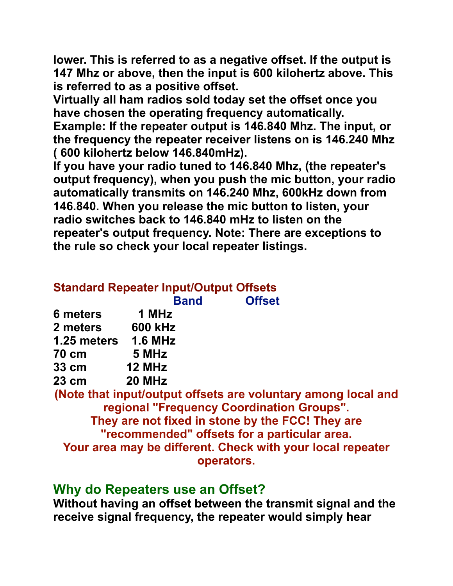**lower. This is referred to as a negative offset. If the output is 147 Mhz or above, then the input is 600 kilohertz above. This is referred to as a positive offset.** 

**Virtually all ham radios sold today set the offset once you have chosen the operating frequency automatically.** 

**Example: If the repeater output is 146.840 Mhz. The input, or the frequency the repeater receiver listens on is 146.240 Mhz ( 600 kilohertz below 146.840mHz).** 

**If you have your radio tuned to 146.840 Mhz, (the repeater's output frequency), when you push the mic button, your radio automatically transmits on 146.240 Mhz, 600kHz down from 146.840. When you release the mic button to listen, your radio switches back to 146.840 mHz to listen on the repeater's output frequency. Note: There are exceptions to the rule so check your local repeater listings.**

|                                                               |                | <b>Band</b> | <b>Offset</b> |  |  |  |  |
|---------------------------------------------------------------|----------------|-------------|---------------|--|--|--|--|
| 6 meters                                                      | 1 MHz          |             |               |  |  |  |  |
| 2 meters                                                      | <b>600 kHz</b> |             |               |  |  |  |  |
| 1.25 meters                                                   | <b>1.6 MHz</b> |             |               |  |  |  |  |
| <b>70 cm</b>                                                  | 5 MHz          |             |               |  |  |  |  |
| $33 \text{ cm}$                                               | 12 MHz         |             |               |  |  |  |  |
| $23 \text{ cm}$                                               | 20 MHz         |             |               |  |  |  |  |
| (Note that input/output offsets are voluntary among local and |                |             |               |  |  |  |  |
| regional "Frequency Coordination Groups".                     |                |             |               |  |  |  |  |
| They are not fixed in stone by the FCC! They are              |                |             |               |  |  |  |  |
| "recommended" offsets for a particular area.                  |                |             |               |  |  |  |  |
| Your area may be different. Check with your local repeater    |                |             |               |  |  |  |  |
| operators.                                                    |                |             |               |  |  |  |  |

## **Why do Repeaters use an Offset?**

**Without having an offset between the transmit signal and the receive signal frequency, the repeater would simply hear**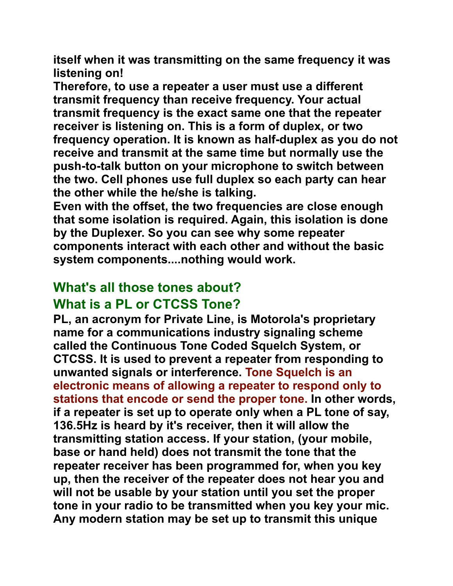**itself when it was transmitting on the same frequency it was listening on!** 

**Therefore, to use a repeater a user must use a different transmit frequency than receive frequency. Your actual transmit frequency is the exact same one that the repeater receiver is listening on. This is a form of duplex, or two frequency operation. It is known as half-duplex as you do not receive and transmit at the same time but normally use the push-to-talk button on your microphone to switch between the two. Cell phones use full duplex so each party can hear the other while the he/she is talking.** 

**Even with the offset, the two frequencies are close enough that some isolation is required. Again, this isolation is done by the Duplexer. So you can see why some repeater components interact with each other and without the basic system components....nothing would work.** 

# **What's all those tones about?**

## **What is a PL or CTCSS Tone?**

**PL, an acronym for Private Line, is Motorola's proprietary name for a communications industry signaling scheme called the Continuous Tone Coded Squelch System, or CTCSS. It is used to prevent a repeater from responding to unwanted signals or interference. Tone Squelch is an electronic means of allowing a repeater to respond only to stations that encode or send the proper tone. In other words, if a repeater is set up to operate only when a PL tone of say, 136.5Hz is heard by it's receiver, then it will allow the transmitting station access. If your station, (your mobile, base or hand held) does not transmit the tone that the repeater receiver has been programmed for, when you key up, then the receiver of the repeater does not hear you and will not be usable by your station until you set the proper tone in your radio to be transmitted when you key your mic. Any modern station may be set up to transmit this unique**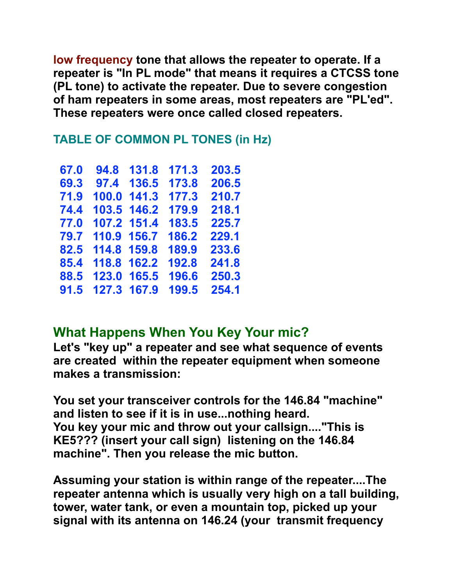**low frequency tone that allows the repeater to operate. If a repeater is "In PL mode" that means it requires a CTCSS tone (PL tone) to activate the repeater. Due to severe congestion of ham repeaters in some areas, most repeaters are "PL'ed". These repeaters were once called closed repeaters.** 

#### **TABLE OF COMMON PL TONES (in Hz)**

| 67.0 | 94.8  | 131.8 | 171.3 | 203.5 |
|------|-------|-------|-------|-------|
| 69.3 | 97.4  | 136.5 | 173.8 | 206.5 |
| 71.9 | 100.0 | 141.3 | 177.3 | 210.7 |
| 74.4 | 103.5 | 146.2 | 179.9 | 218.1 |
| 77.0 | 107.2 | 151.4 | 183.5 | 225.7 |
| 79.7 | 110.9 | 156.7 | 186.2 | 229.1 |
| 82.5 | 114.8 | 159.8 | 189.9 | 233.6 |
| 85.4 | 118.8 | 162.2 | 192.8 | 241.8 |
| 88.5 | 123.0 | 165.5 | 196.6 | 250.3 |
| 91.5 | 127.3 | 167.9 | 199.5 | 254.1 |

# **What Happens When You Key Your mic?**

**Let's "key up" a repeater and see what sequence of events are created within the repeater equipment when someone makes a transmission:** 

**You set your transceiver controls for the 146.84 "machine" and listen to see if it is in use...nothing heard. You key your mic and throw out your callsign...."This is KE5??? (insert your call sign) listening on the 146.84 machine". Then you release the mic button.** 

**Assuming your station is within range of the repeater....The repeater antenna which is usually very high on a tall building, tower, water tank, or even a mountain top, picked up your signal with its antenna on 146.24 (your transmit frequency**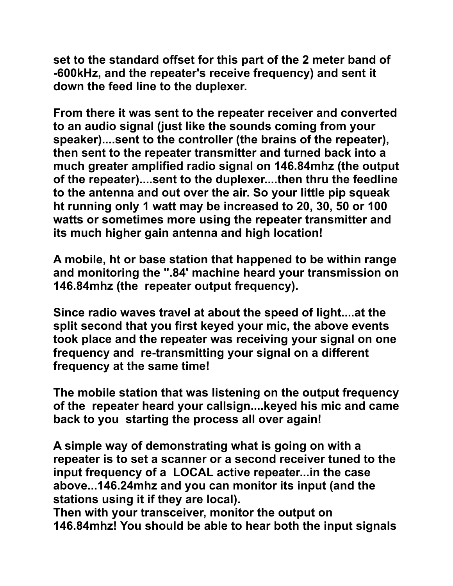**set to the standard offset for this part of the 2 meter band of -600kHz, and the repeater's receive frequency) and sent it down the feed line to the duplexer.** 

**From there it was sent to the repeater receiver and converted to an audio signal (just like the sounds coming from your speaker)....sent to the controller (the brains of the repeater), then sent to the repeater transmitter and turned back into a much greater amplified radio signal on 146.84mhz (the output of the repeater)....sent to the duplexer....then thru the feedline to the antenna and out over the air. So your little pip squeak ht running only 1 watt may be increased to 20, 30, 50 or 100 watts or sometimes more using the repeater transmitter and its much higher gain antenna and high location!**

**A mobile, ht or base station that happened to be within range and monitoring the ".84' machine heard your transmission on 146.84mhz (the repeater output frequency).** 

**Since radio waves travel at about the speed of light....at the split second that you first keyed your mic, the above events took place and the repeater was receiving your signal on one frequency and re-transmitting your signal on a different frequency at the same time!** 

**The mobile station that was listening on the output frequency of the repeater heard your callsign....keyed his mic and came back to you starting the process all over again!** 

**A simple way of demonstrating what is going on with a repeater is to set a scanner or a second receiver tuned to the input frequency of a LOCAL active repeater...in the case above...146.24mhz and you can monitor its input (and the stations using it if they are local).**

**Then with your transceiver, monitor the output on 146.84mhz! You should be able to hear both the input signals**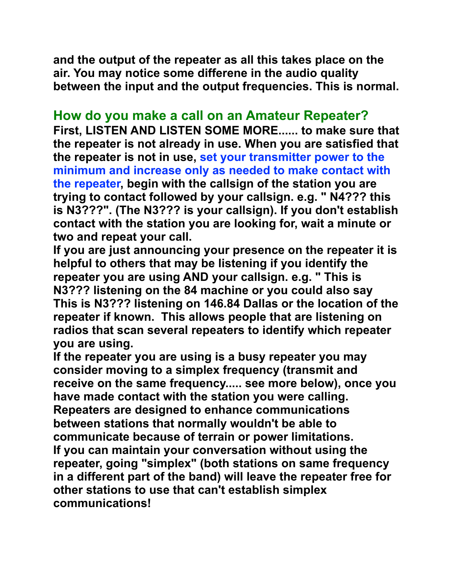**and the output of the repeater as all this takes place on the air. You may notice some differene in the audio quality between the input and the output frequencies. This is normal.**

### **How do you make a call on an Amateur Repeater?**

**First, LISTEN AND LISTEN SOME MORE...... to make sure that the repeater is not already in use. When you are satisfied that the repeater is not in use, set your transmitter power to the minimum and increase only as needed to make contact with the repeater, begin with the callsign of the station you are trying to contact followed by your callsign. e.g. " N4??? this is N3???". (The N3??? is your callsign). If you don't establish contact with the station you are looking for, wait a minute or two and repeat your call.** 

**If you are just announcing your presence on the repeater it is helpful to others that may be listening if you identify the repeater you are using AND your callsign. e.g. " This is N3??? listening on the 84 machine or you could also say This is N3??? listening on 146.84 Dallas or the location of the repeater if known. This allows people that are listening on radios that scan several repeaters to identify which repeater you are using.** 

**If the repeater you are using is a busy repeater you may consider moving to a simplex frequency (transmit and receive on the same frequency..... see more below), once you have made contact with the station you were calling. Repeaters are designed to enhance communications between stations that normally wouldn't be able to communicate because of terrain or power limitations. If you can maintain your conversation without using the repeater, going "simplex" (both stations on same frequency in a different part of the band) will leave the repeater free for other stations to use that can't establish simplex communications!**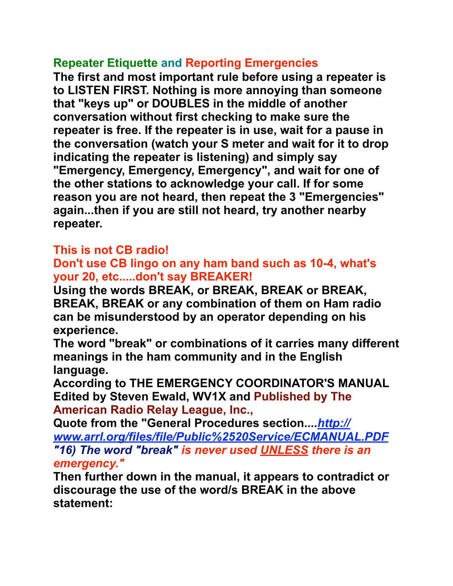#### **Repeater Etiquette and Reporting Emergencies**

**The first and most important rule before using a repeater is to LISTEN FIRST. Nothing is more annoying than someone that "keys up" or DOUBLES in the middle of another conversation without first checking to make sure the repeater is free. If the repeater is in use, wait for a pause in the conversation (watch your S meter and wait for it to drop indicating the repeater is listening) and simply say "Emergency, Emergency, Emergency", and wait for one of the other stations to acknowledge your call. If for some reason you are not heard, then repeat the 3 "Emergencies" again...then if you are still not heard, try another nearby repeater.**

### **This is not CB radio!**

#### **Don't use CB lingo on any ham band such as 10-4, what's your 20, etc.....don't say BREAKER!**

**Using the words BREAK, or BREAK, BREAK or BREAK, BREAK, BREAK or any combination of them on Ham radio can be misunderstood by an operator depending on his experience.** 

**The word "break" or combinations of it carries many different meanings in the ham community and in the English language.** 

**According to THE EMERGENCY COORDINATOR'S MANUAL Edited by Steven Ewald, WV1X and Published by The American Radio Relay League, Inc.,** 

**Quote from the "General Procedures section....***[http://](http://www.arrl.org/files/file/Public%2520Service/ECMANUAL.PDF) [www.arrl.org/files/file/Public%2520Service/ECMANUAL.PDF](http://www.arrl.org/files/file/Public%2520Service/ECMANUAL.PDF) "16) The word "break" is never used UNLESS there is an emergency."*

**Then further down in the manual, it appears to contradict or discourage the use of the word/s BREAK in the above statement:**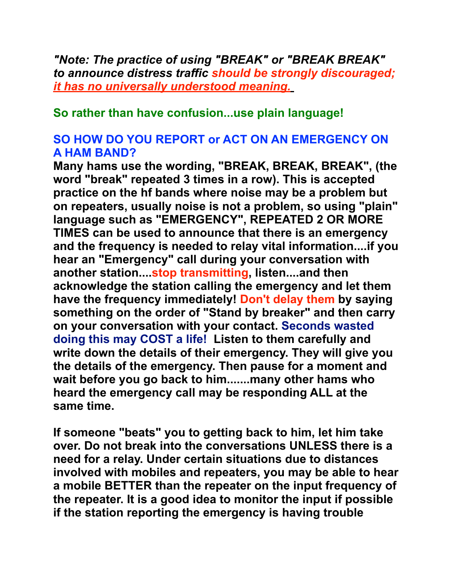*"Note: The practice of using "BREAK" or "BREAK BREAK" to announce distress traffic should be strongly discouraged; it has no universally understood meaning.*

#### **So rather than have confusion...use plain language!**

#### **SO HOW DO YOU REPORT or ACT ON AN EMERGENCY ON A HAM BAND?**

**Many hams use the wording, "BREAK, BREAK, BREAK", (the word "break" repeated 3 times in a row). This is accepted practice on the hf bands where noise may be a problem but on repeaters, usually noise is not a problem, so using "plain" language such as "EMERGENCY", REPEATED 2 OR MORE TIMES can be used to announce that there is an emergency and the frequency is needed to relay vital information....if you hear an "Emergency" call during your conversation with another station....stop transmitting, listen....and then acknowledge the station calling the emergency and let them have the frequency immediately! Don't delay them by saying something on the order of "Stand by breaker" and then carry on your conversation with your contact. Seconds wasted doing this may COST a life! Listen to them carefully and write down the details of their emergency. They will give you the details of the emergency. Then pause for a moment and wait before you go back to him.......many other hams who heard the emergency call may be responding ALL at the same time.**

**If someone "beats" you to getting back to him, let him take over. Do not break into the conversations UNLESS there is a need for a relay. Under certain situations due to distances involved with mobiles and repeaters, you may be able to hear a mobile BETTER than the repeater on the input frequency of the repeater. It is a good idea to monitor the input if possible if the station reporting the emergency is having trouble**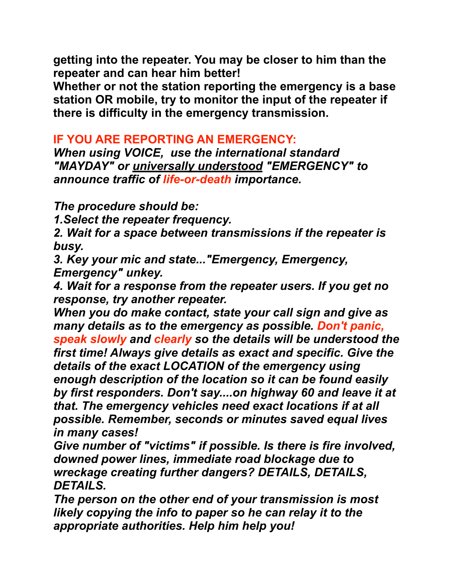**getting into the repeater. You may be closer to him than the repeater and can hear him better!** 

**Whether or not the station reporting the emergency is a base station OR mobile, try to monitor the input of the repeater if there is difficulty in the emergency transmission.**

#### **IF YOU ARE REPORTING AN EMERGENCY:**

*When using VOICE, use the international standard "MAYDAY" or universally understood "EMERGENCY" to announce traffic of life-or-death importance.*

*The procedure should be:*

*1.Select the repeater frequency.*

*2. Wait for a space between transmissions if the repeater is busy.*

*3. Key your mic and state..."Emergency, Emergency, Emergency" unkey.*

*4. Wait for a response from the repeater users. If you get no response, try another repeater.*

*When you do make contact, state your call sign and give as many details as to the emergency as possible. Don't panic, speak slowly and clearly so the details will be understood the first time! Always give details as exact and specific. Give the details of the exact LOCATION of the emergency using enough description of the location so it can be found easily by first responders. Don't say....on highway 60 and leave it at that. The emergency vehicles need exact locations if at all possible. Remember, seconds or minutes saved equal lives in many cases!*

*Give number of "victims" if possible. Is there is fire involved, downed power lines, immediate road blockage due to wreckage creating further dangers? DETAILS, DETAILS, DETAILS.*

*The person on the other end of your transmission is most likely copying the info to paper so he can relay it to the appropriate authorities. Help him help you!*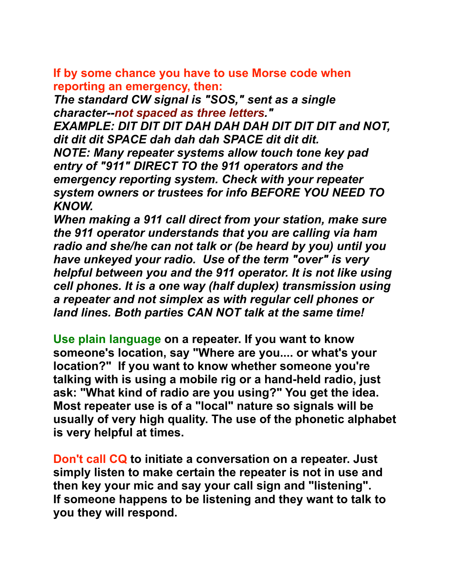**If by some chance you have to use Morse code when reporting an emergency, then:**

*The standard CW signal is "SOS," sent as a single character--not spaced as three letters."* 

*EXAMPLE: DIT DIT DIT DAH DAH DAH DIT DIT DIT and NOT, dit dit dit SPACE dah dah dah SPACE dit dit dit. NOTE: Many repeater systems allow touch tone key pad entry of "911" DIRECT TO the 911 operators and the emergency reporting system. Check with your repeater system owners or trustees for info BEFORE YOU NEED TO KNOW.*

*When making a 911 call direct from your station, make sure the 911 operator understands that you are calling via ham radio and she/he can not talk or (be heard by you) until you have unkeyed your radio. Use of the term "over" is very helpful between you and the 911 operator. It is not like using cell phones. It is a one way (half duplex) transmission using a repeater and not simplex as with regular cell phones or land lines. Both parties CAN NOT talk at the same time!*

**Use plain language on a repeater. If you want to know someone's location, say "Where are you.... or what's your location?" If you want to know whether someone you're talking with is using a mobile rig or a hand-held radio, just ask: "What kind of radio are you using?" You get the idea. Most repeater use is of a "local" nature so signals will be usually of very high quality. The use of the phonetic alphabet is very helpful at times.**

**Don't call CQ to initiate a conversation on a repeater. Just simply listen to make certain the repeater is not in use and then key your mic and say your call sign and "listening". If someone happens to be listening and they want to talk to you they will respond.**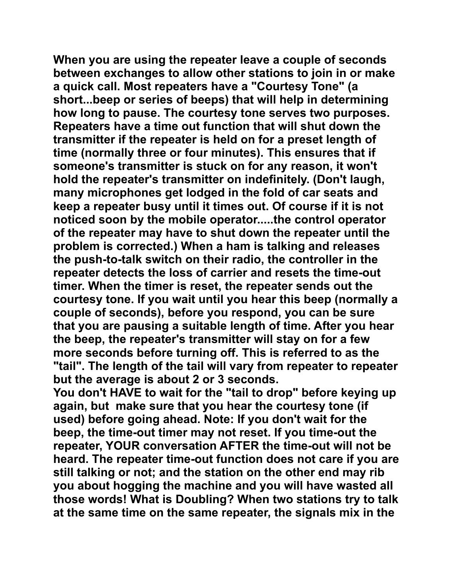**When you are using the repeater leave a couple of seconds between exchanges to allow other stations to join in or make a quick call. Most repeaters have a "Courtesy Tone" (a short...beep or series of beeps) that will help in determining how long to pause. The courtesy tone serves two purposes. Repeaters have a time out function that will shut down the transmitter if the repeater is held on for a preset length of time (normally three or four minutes). This ensures that if someone's transmitter is stuck on for any reason, it won't hold the repeater's transmitter on indefinitely. (Don't laugh, many microphones get lodged in the fold of car seats and keep a repeater busy until it times out. Of course if it is not noticed soon by the mobile operator.....the control operator of the repeater may have to shut down the repeater until the problem is corrected.) When a ham is talking and releases the push-to-talk switch on their radio, the controller in the repeater detects the loss of carrier and resets the time-out timer. When the timer is reset, the repeater sends out the courtesy tone. If you wait until you hear this beep (normally a couple of seconds), before you respond, you can be sure that you are pausing a suitable length of time. After you hear the beep, the repeater's transmitter will stay on for a few more seconds before turning off. This is referred to as the "tail". The length of the tail will vary from repeater to repeater but the average is about 2 or 3 seconds.** 

**You don't HAVE to wait for the "tail to drop" before keying up again, but make sure that you hear the courtesy tone (if used) before going ahead. Note: If you don't wait for the beep, the time-out timer may not reset. If you time-out the repeater, YOUR conversation AFTER the time-out will not be heard. The repeater time-out function does not care if you are still talking or not; and the station on the other end may rib you about hogging the machine and you will have wasted all those words! What is Doubling? When two stations try to talk at the same time on the same repeater, the signals mix in the**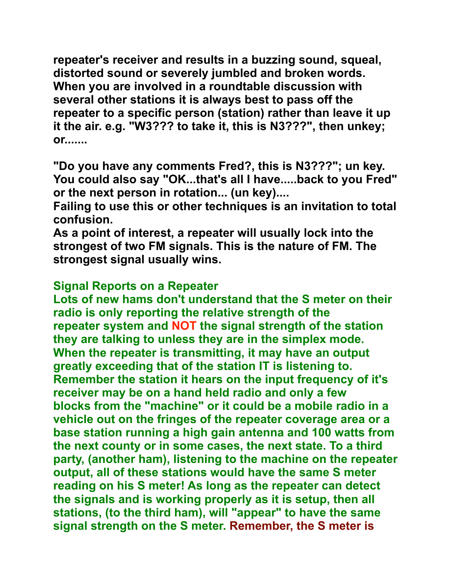**repeater's receiver and results in a buzzing sound, squeal, distorted sound or severely jumbled and broken words. When you are involved in a roundtable discussion with several other stations it is always best to pass off the repeater to a specific person (station) rather than leave it up it the air. e.g. "W3??? to take it, this is N3???", then unkey; or.......**

**"Do you have any comments Fred?, this is N3???"; un key. You could also say "OK...that's all I have.....back to you Fred" or the next person in rotation... (un key)....**

**Failing to use this or other techniques is an invitation to total confusion.** 

**As a point of interest, a repeater will usually lock into the strongest of two FM signals. This is the nature of FM. The strongest signal usually wins.**

#### **Signal Reports on a Repeater**

**Lots of new hams don't understand that the S meter on their radio is only reporting the relative strength of the repeater system and NOT the signal strength of the station they are talking to unless they are in the simplex mode. When the repeater is transmitting, it may have an output greatly exceeding that of the station IT is listening to. Remember the station it hears on the input frequency of it's receiver may be on a hand held radio and only a few blocks from the "machine" or it could be a mobile radio in a vehicle out on the fringes of the repeater coverage area or a base station running a high gain antenna and 100 watts from the next county or in some cases, the next state. To a third party, (another ham), listening to the machine on the repeater output, all of these stations would have the same S meter reading on his S meter! As long as the repeater can detect the signals and is working properly as it is setup, then all stations, (to the third ham), will "appear" to have the same signal strength on the S meter. Remember, the S meter is**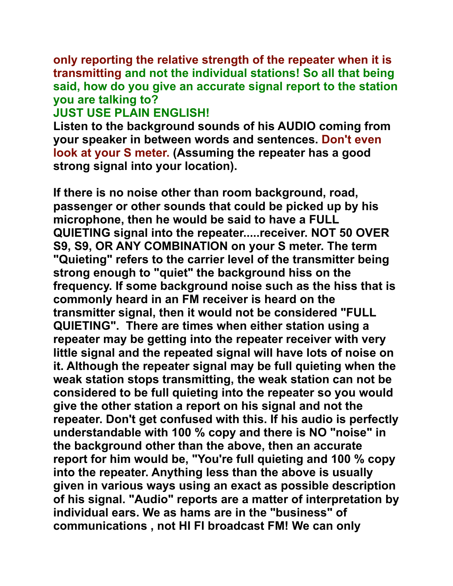**only reporting the relative strength of the repeater when it is transmitting and not the individual stations! So all that being said, how do you give an accurate signal report to the station you are talking to?**

#### **JUST USE PLAIN ENGLISH!**

**Listen to the background sounds of his AUDIO coming from your speaker in between words and sentences. Don't even look at your S meter. (Assuming the repeater has a good strong signal into your location).**

**If there is no noise other than room background, road, passenger or other sounds that could be picked up by his microphone, then he would be said to have a FULL QUIETING signal into the repeater.....receiver. NOT 50 OVER S9, S9, OR ANY COMBINATION on your S meter. The term "Quieting" refers to the carrier level of the transmitter being strong enough to "quiet" the background hiss on the frequency. If some background noise such as the hiss that is commonly heard in an FM receiver is heard on the transmitter signal, then it would not be considered "FULL QUIETING". There are times when either station using a repeater may be getting into the repeater receiver with very little signal and the repeated signal will have lots of noise on it. Although the repeater signal may be full quieting when the weak station stops transmitting, the weak station can not be considered to be full quieting into the repeater so you would give the other station a report on his signal and not the repeater. Don't get confused with this. If his audio is perfectly understandable with 100 % copy and there is NO "noise" in the background other than the above, then an accurate report for him would be, "You're full quieting and 100 % copy into the repeater. Anything less than the above is usually given in various ways using an exact as possible description of his signal. "Audio" reports are a matter of interpretation by individual ears. We as hams are in the "business" of communications , not HI FI broadcast FM! We can only**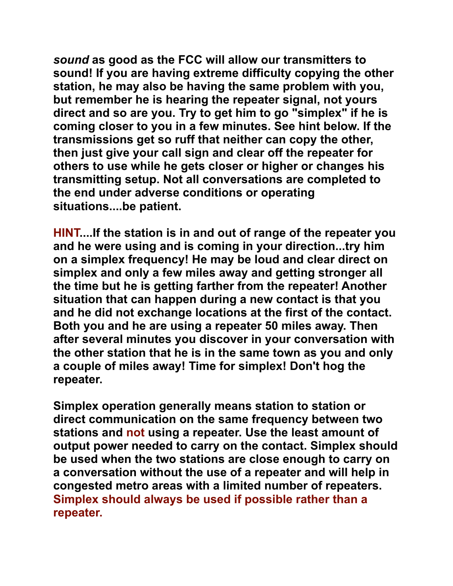*sound* **as good as the FCC will allow our transmitters to sound! If you are having extreme difficulty copying the other station, he may also be having the same problem with you, but remember he is hearing the repeater signal, not yours direct and so are you. Try to get him to go "simplex" if he is coming closer to you in a few minutes. See hint below. If the transmissions get so ruff that neither can copy the other, then just give your call sign and clear off the repeater for others to use while he gets closer or higher or changes his transmitting setup. Not all conversations are completed to the end under adverse conditions or operating situations....be patient.**

**HINT....If the station is in and out of range of the repeater you and he were using and is coming in your direction...try him on a simplex frequency! He may be loud and clear direct on simplex and only a few miles away and getting stronger all the time but he is getting farther from the repeater! Another situation that can happen during a new contact is that you and he did not exchange locations at the first of the contact. Both you and he are using a repeater 50 miles away. Then after several minutes you discover in your conversation with the other station that he is in the same town as you and only a couple of miles away! Time for simplex! Don't hog the repeater.** 

**Simplex operation generally means station to station or direct communication on the same frequency between two stations and not using a repeater. Use the least amount of output power needed to carry on the contact. Simplex should be used when the two stations are close enough to carry on a conversation without the use of a repeater and will help in congested metro areas with a limited number of repeaters. Simplex should always be used if possible rather than a repeater.**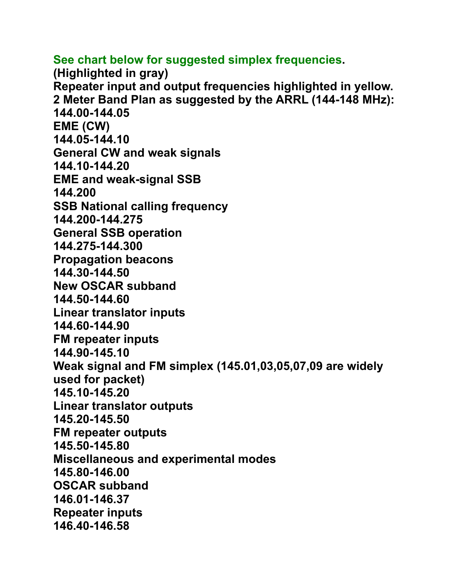**See chart below for suggested simplex frequencies. (Highlighted in gray) Repeater input and output frequencies highlighted in yellow. 2 Meter Band Plan as suggested by the ARRL (144-148 MHz): 144.00-144.05 EME (CW) 144.05-144.10 General CW and weak signals 144.10-144.20 EME and weak-signal SSB 144.200 SSB National calling frequency 144.200-144.275 General SSB operation 144.275-144.300 Propagation beacons 144.30-144.50 New OSCAR subband 144.50-144.60 Linear translator inputs 144.60-144.90 FM repeater inputs 144.90-145.10 Weak signal and FM simplex (145.01,03,05,07,09 are widely used for packet) 145.10-145.20 Linear translator outputs 145.20-145.50 FM repeater outputs 145.50-145.80 Miscellaneous and experimental modes 145.80-146.00 OSCAR subband 146.01-146.37 Repeater inputs 146.40-146.58**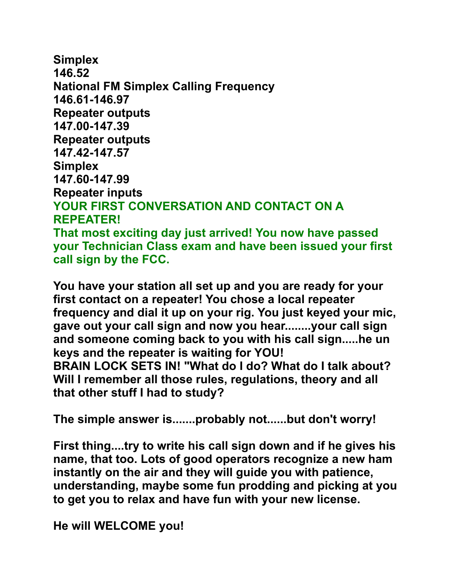**Simplex 146.52 National FM Simplex Calling Frequency 146.61-146.97 Repeater outputs 147.00-147.39 Repeater outputs 147.42-147.57 Simplex 147.60-147.99 Repeater inputs YOUR FIRST CONVERSATION AND CONTACT ON A REPEATER! That most exciting day just arrived! You now have passed your Technician Class exam and have been issued your first call sign by the FCC.** 

**You have your station all set up and you are ready for your first contact on a repeater! You chose a local repeater frequency and dial it up on your rig. You just keyed your mic, gave out your call sign and now you hear........your call sign and someone coming back to you with his call sign.....he un keys and the repeater is waiting for YOU! BRAIN LOCK SETS IN! "What do I do? What do I talk about? Will I remember all those rules, regulations, theory and all that other stuff I had to study?**

**The simple answer is.......probably not......but don't worry!**

**First thing....try to write his call sign down and if he gives his name, that too. Lots of good operators recognize a new ham instantly on the air and they will guide you with patience, understanding, maybe some fun prodding and picking at you to get you to relax and have fun with your new license.**

**He will WELCOME you!**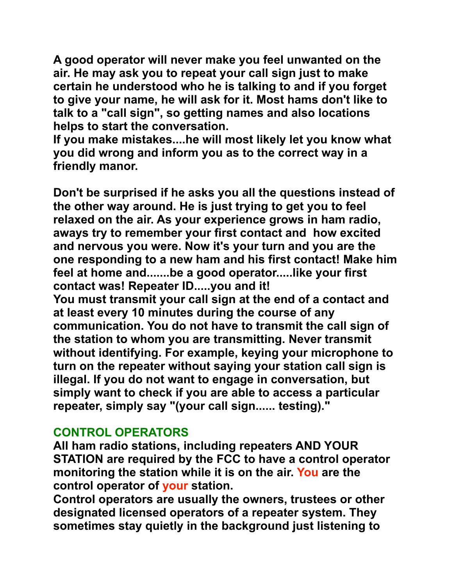**A good operator will never make you feel unwanted on the air. He may ask you to repeat your call sign just to make certain he understood who he is talking to and if you forget to give your name, he will ask for it. Most hams don't like to talk to a "call sign", so getting names and also locations helps to start the conversation.**

**If you make mistakes....he will most likely let you know what you did wrong and inform you as to the correct way in a friendly manor.**

**Don't be surprised if he asks you all the questions instead of the other way around. He is just trying to get you to feel relaxed on the air. As your experience grows in ham radio, aways try to remember your first contact and how excited and nervous you were. Now it's your turn and you are the one responding to a new ham and his first contact! Make him feel at home and.......be a good operator.....like your first contact was! Repeater ID.....you and it!** 

**You must transmit your call sign at the end of a contact and at least every 10 minutes during the course of any communication. You do not have to transmit the call sign of the station to whom you are transmitting. Never transmit without identifying. For example, keying your microphone to turn on the repeater without saying your station call sign is illegal. If you do not want to engage in conversation, but simply want to check if you are able to access a particular repeater, simply say "(your call sign...... testing)."** 

#### **CONTROL OPERATORS**

**All ham radio stations, including repeaters AND YOUR STATION are required by the FCC to have a control operator monitoring the station while it is on the air. You are the control operator of your station.**

**Control operators are usually the owners, trustees or other designated licensed operators of a repeater system. They sometimes stay quietly in the background just listening to**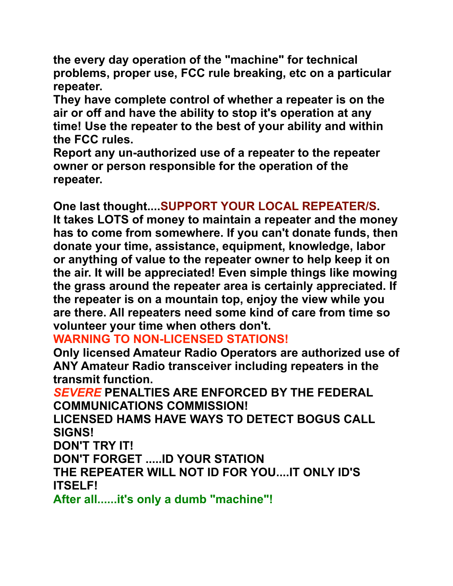**the every day operation of the "machine" for technical problems, proper use, FCC rule breaking, etc on a particular repeater.**

**They have complete control of whether a repeater is on the air or off and have the ability to stop it's operation at any time! Use the repeater to the best of your ability and within the FCC rules.**

**Report any un-authorized use of a repeater to the repeater owner or person responsible for the operation of the repeater.** 

**One last thought....SUPPORT YOUR LOCAL REPEATER/S. It takes LOTS of money to maintain a repeater and the money has to come from somewhere. If you can't donate funds, then donate your time, assistance, equipment, knowledge, labor or anything of value to the repeater owner to help keep it on the air. It will be appreciated! Even simple things like mowing the grass around the repeater area is certainly appreciated. If the repeater is on a mountain top, enjoy the view while you are there. All repeaters need some kind of care from time so volunteer your time when others don't.**

## **WARNING TO NON-LICENSED STATIONS!**

**Only licensed Amateur Radio Operators are authorized use of ANY Amateur Radio transceiver including repeaters in the transmit function.**

*SEVERE* **PENALTIES ARE ENFORCED BY THE FEDERAL COMMUNICATIONS COMMISSION!**

**LICENSED HAMS HAVE WAYS TO DETECT BOGUS CALL SIGNS!**

**DON'T TRY IT!**

**DON'T FORGET .....ID YOUR STATION**

**THE REPEATER WILL NOT ID FOR YOU....IT ONLY ID'S ITSELF!** 

**After all......it's only a dumb "machine"!**